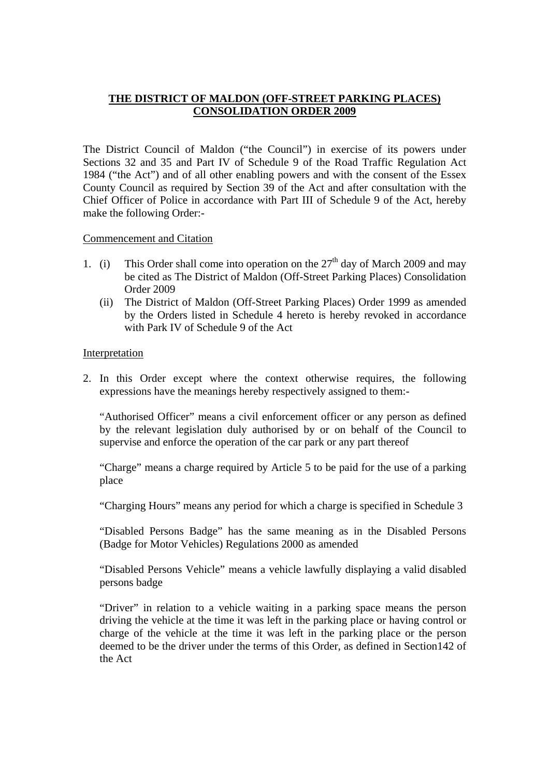## **THE DISTRICT OF MALDON (OFF-STREET PARKING PLACES) CONSOLIDATION ORDER 2009**

The District Council of Maldon ("the Council") in exercise of its powers under Sections 32 and 35 and Part IV of Schedule 9 of the Road Traffic Regulation Act 1984 ("the Act") and of all other enabling powers and with the consent of the Essex County Council as required by Section 39 of the Act and after consultation with the Chief Officer of Police in accordance with Part III of Schedule 9 of the Act, hereby make the following Order:-

### Commencement and Citation

- 1. (i) This Order shall come into operation on the  $27<sup>th</sup>$  day of March 2009 and may be cited as The District of Maldon (Off-Street Parking Places) Consolidation Order 2009
	- (ii) The District of Maldon (Off-Street Parking Places) Order 1999 as amended by the Orders listed in Schedule 4 hereto is hereby revoked in accordance with Park IV of Schedule 9 of the Act

## Interpretation

2. In this Order except where the context otherwise requires, the following expressions have the meanings hereby respectively assigned to them:-

 "Authorised Officer" means a civil enforcement officer or any person as defined by the relevant legislation duly authorised by or on behalf of the Council to supervise and enforce the operation of the car park or any part thereof

 "Charge" means a charge required by Article 5 to be paid for the use of a parking place

"Charging Hours" means any period for which a charge is specified in Schedule 3

 "Disabled Persons Badge" has the same meaning as in the Disabled Persons (Badge for Motor Vehicles) Regulations 2000 as amended

 "Disabled Persons Vehicle" means a vehicle lawfully displaying a valid disabled persons badge

 "Driver" in relation to a vehicle waiting in a parking space means the person driving the vehicle at the time it was left in the parking place or having control or charge of the vehicle at the time it was left in the parking place or the person deemed to be the driver under the terms of this Order, as defined in Section142 of the Act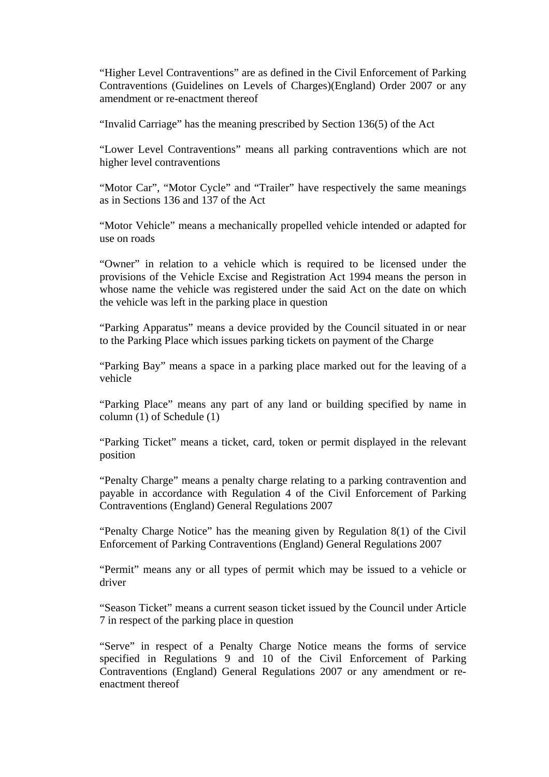"Higher Level Contraventions" are as defined in the Civil Enforcement of Parking Contraventions (Guidelines on Levels of Charges)(England) Order 2007 or any amendment or re-enactment thereof

"Invalid Carriage" has the meaning prescribed by Section 136(5) of the Act

 "Lower Level Contraventions" means all parking contraventions which are not higher level contraventions

 "Motor Car", "Motor Cycle" and "Trailer" have respectively the same meanings as in Sections 136 and 137 of the Act

 "Motor Vehicle" means a mechanically propelled vehicle intended or adapted for use on roads

 "Owner" in relation to a vehicle which is required to be licensed under the provisions of the Vehicle Excise and Registration Act 1994 means the person in whose name the vehicle was registered under the said Act on the date on which the vehicle was left in the parking place in question

 "Parking Apparatus" means a device provided by the Council situated in or near to the Parking Place which issues parking tickets on payment of the Charge

 "Parking Bay" means a space in a parking place marked out for the leaving of a vehicle

 "Parking Place" means any part of any land or building specified by name in column (1) of Schedule (1)

 "Parking Ticket" means a ticket, card, token or permit displayed in the relevant position

 "Penalty Charge" means a penalty charge relating to a parking contravention and payable in accordance with Regulation 4 of the Civil Enforcement of Parking Contraventions (England) General Regulations 2007

 "Penalty Charge Notice" has the meaning given by Regulation 8(1) of the Civil Enforcement of Parking Contraventions (England) General Regulations 2007

 "Permit" means any or all types of permit which may be issued to a vehicle or driver

 "Season Ticket" means a current season ticket issued by the Council under Article 7 in respect of the parking place in question

 "Serve" in respect of a Penalty Charge Notice means the forms of service specified in Regulations 9 and 10 of the Civil Enforcement of Parking Contraventions (England) General Regulations 2007 or any amendment or reenactment thereof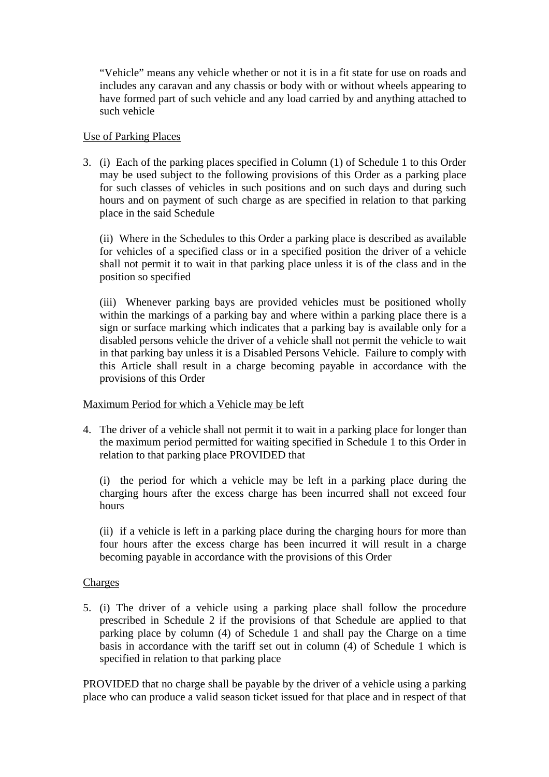"Vehicle" means any vehicle whether or not it is in a fit state for use on roads and includes any caravan and any chassis or body with or without wheels appearing to have formed part of such vehicle and any load carried by and anything attached to such vehicle

## Use of Parking Places

3. (i) Each of the parking places specified in Column (1) of Schedule 1 to this Order may be used subject to the following provisions of this Order as a parking place for such classes of vehicles in such positions and on such days and during such hours and on payment of such charge as are specified in relation to that parking place in the said Schedule

 (ii) Where in the Schedules to this Order a parking place is described as available for vehicles of a specified class or in a specified position the driver of a vehicle shall not permit it to wait in that parking place unless it is of the class and in the position so specified

 (iii) Whenever parking bays are provided vehicles must be positioned wholly within the markings of a parking bay and where within a parking place there is a sign or surface marking which indicates that a parking bay is available only for a disabled persons vehicle the driver of a vehicle shall not permit the vehicle to wait in that parking bay unless it is a Disabled Persons Vehicle. Failure to comply with this Article shall result in a charge becoming payable in accordance with the provisions of this Order

# Maximum Period for which a Vehicle may be left

4. The driver of a vehicle shall not permit it to wait in a parking place for longer than the maximum period permitted for waiting specified in Schedule 1 to this Order in relation to that parking place PROVIDED that

 (i) the period for which a vehicle may be left in a parking place during the charging hours after the excess charge has been incurred shall not exceed four hours

 (ii) if a vehicle is left in a parking place during the charging hours for more than four hours after the excess charge has been incurred it will result in a charge becoming payable in accordance with the provisions of this Order

## **Charges**

5. (i) The driver of a vehicle using a parking place shall follow the procedure prescribed in Schedule 2 if the provisions of that Schedule are applied to that parking place by column (4) of Schedule 1 and shall pay the Charge on a time basis in accordance with the tariff set out in column (4) of Schedule 1 which is specified in relation to that parking place

PROVIDED that no charge shall be payable by the driver of a vehicle using a parking place who can produce a valid season ticket issued for that place and in respect of that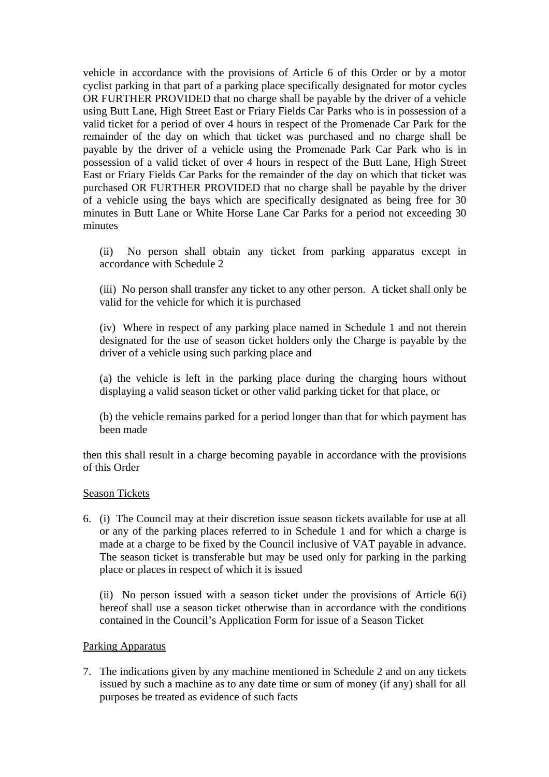vehicle in accordance with the provisions of Article 6 of this Order or by a motor cyclist parking in that part of a parking place specifically designated for motor cycles OR FURTHER PROVIDED that no charge shall be payable by the driver of a vehicle using Butt Lane, High Street East or Friary Fields Car Parks who is in possession of a valid ticket for a period of over 4 hours in respect of the Promenade Car Park for the remainder of the day on which that ticket was purchased and no charge shall be payable by the driver of a vehicle using the Promenade Park Car Park who is in possession of a valid ticket of over 4 hours in respect of the Butt Lane, High Street East or Friary Fields Car Parks for the remainder of the day on which that ticket was purchased OR FURTHER PROVIDED that no charge shall be payable by the driver of a vehicle using the bays which are specifically designated as being free for 30 minutes in Butt Lane or White Horse Lane Car Parks for a period not exceeding 30 minutes

 (ii) No person shall obtain any ticket from parking apparatus except in accordance with Schedule 2

 (iii) No person shall transfer any ticket to any other person. A ticket shall only be valid for the vehicle for which it is purchased

 (iv) Where in respect of any parking place named in Schedule 1 and not therein designated for the use of season ticket holders only the Charge is payable by the driver of a vehicle using such parking place and

 (a) the vehicle is left in the parking place during the charging hours without displaying a valid season ticket or other valid parking ticket for that place, or

 (b) the vehicle remains parked for a period longer than that for which payment has been made

then this shall result in a charge becoming payable in accordance with the provisions of this Order

#### Season Tickets

6. (i) The Council may at their discretion issue season tickets available for use at all or any of the parking places referred to in Schedule 1 and for which a charge is made at a charge to be fixed by the Council inclusive of VAT payable in advance. The season ticket is transferable but may be used only for parking in the parking place or places in respect of which it is issued

 (ii) No person issued with a season ticket under the provisions of Article 6(i) hereof shall use a season ticket otherwise than in accordance with the conditions contained in the Council's Application Form for issue of a Season Ticket

#### Parking Apparatus

7. The indications given by any machine mentioned in Schedule 2 and on any tickets issued by such a machine as to any date time or sum of money (if any) shall for all purposes be treated as evidence of such facts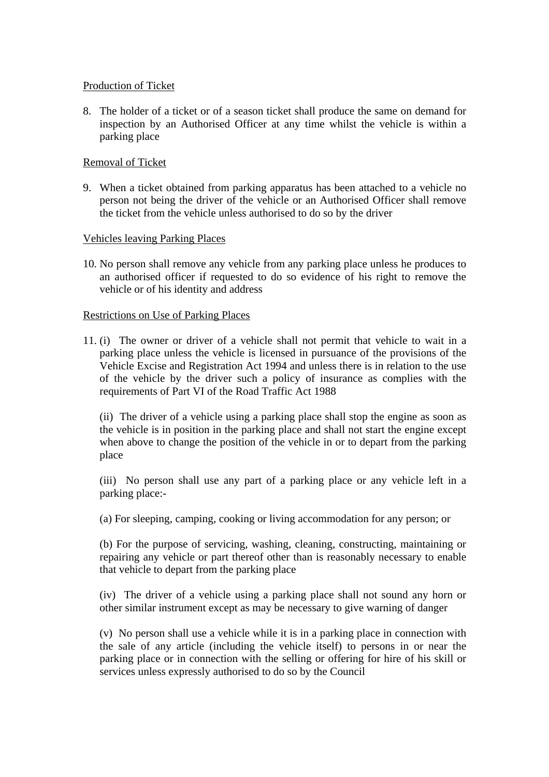## Production of Ticket

8. The holder of a ticket or of a season ticket shall produce the same on demand for inspection by an Authorised Officer at any time whilst the vehicle is within a parking place

## Removal of Ticket

9. When a ticket obtained from parking apparatus has been attached to a vehicle no person not being the driver of the vehicle or an Authorised Officer shall remove the ticket from the vehicle unless authorised to do so by the driver

### Vehicles leaving Parking Places

10. No person shall remove any vehicle from any parking place unless he produces to an authorised officer if requested to do so evidence of his right to remove the vehicle or of his identity and address

### Restrictions on Use of Parking Places

11. (i) The owner or driver of a vehicle shall not permit that vehicle to wait in a parking place unless the vehicle is licensed in pursuance of the provisions of the Vehicle Excise and Registration Act 1994 and unless there is in relation to the use of the vehicle by the driver such a policy of insurance as complies with the requirements of Part VI of the Road Traffic Act 1988

 (ii) The driver of a vehicle using a parking place shall stop the engine as soon as the vehicle is in position in the parking place and shall not start the engine except when above to change the position of the vehicle in or to depart from the parking place

 (iii) No person shall use any part of a parking place or any vehicle left in a parking place:-

(a) For sleeping, camping, cooking or living accommodation for any person; or

 (b) For the purpose of servicing, washing, cleaning, constructing, maintaining or repairing any vehicle or part thereof other than is reasonably necessary to enable that vehicle to depart from the parking place

 (iv) The driver of a vehicle using a parking place shall not sound any horn or other similar instrument except as may be necessary to give warning of danger

 (v) No person shall use a vehicle while it is in a parking place in connection with the sale of any article (including the vehicle itself) to persons in or near the parking place or in connection with the selling or offering for hire of his skill or services unless expressly authorised to do so by the Council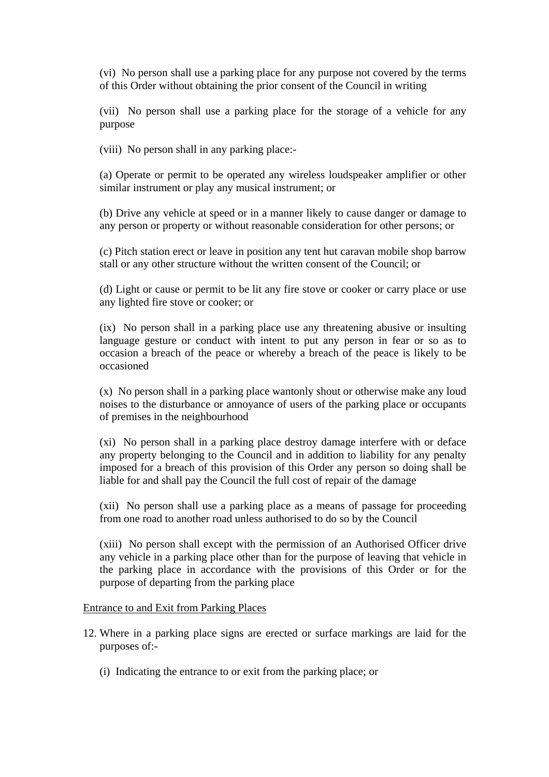(vi) No person shall use a parking place for any purpose not covered by the terms of this Order without obtaining the prior consent of the Council in writing

 (vii) No person shall use a parking place for the storage of a vehicle for any purpose

(viii) No person shall in any parking place:-

 (a) Operate or permit to be operated any wireless loudspeaker amplifier or other similar instrument or play any musical instrument; or

 (b) Drive any vehicle at speed or in a manner likely to cause danger or damage to any person or property or without reasonable consideration for other persons; or

 (c) Pitch station erect or leave in position any tent hut caravan mobile shop barrow stall or any other structure without the written consent of the Council; or

 (d) Light or cause or permit to be lit any fire stove or cooker or carry place or use any lighted fire stove or cooker; or

 (ix) No person shall in a parking place use any threatening abusive or insulting language gesture or conduct with intent to put any person in fear or so as to occasion a breach of the peace or whereby a breach of the peace is likely to be occasioned

 (x) No person shall in a parking place wantonly shout or otherwise make any loud noises to the disturbance or annoyance of users of the parking place or occupants of premises in the neighbourhood

 (xi) No person shall in a parking place destroy damage interfere with or deface any property belonging to the Council and in addition to liability for any penalty imposed for a breach of this provision of this Order any person so doing shall be liable for and shall pay the Council the full cost of repair of the damage

 (xii) No person shall use a parking place as a means of passage for proceeding from one road to another road unless authorised to do so by the Council

 (xiii) No person shall except with the permission of an Authorised Officer drive any vehicle in a parking place other than for the purpose of leaving that vehicle in the parking place in accordance with the provisions of this Order or for the purpose of departing from the parking place

#### Entrance to and Exit from Parking Places

- 12. Where in a parking place signs are erected or surface markings are laid for the purposes of:-
	- (i) Indicating the entrance to or exit from the parking place; or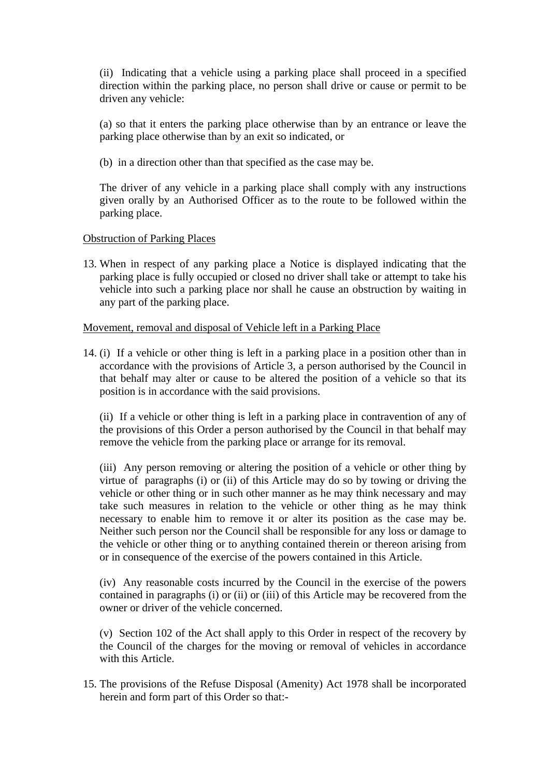(ii) Indicating that a vehicle using a parking place shall proceed in a specified direction within the parking place, no person shall drive or cause or permit to be driven any vehicle:

 (a) so that it enters the parking place otherwise than by an entrance or leave the parking place otherwise than by an exit so indicated, or

(b) in a direction other than that specified as the case may be.

 The driver of any vehicle in a parking place shall comply with any instructions given orally by an Authorised Officer as to the route to be followed within the parking place.

## Obstruction of Parking Places

13. When in respect of any parking place a Notice is displayed indicating that the parking place is fully occupied or closed no driver shall take or attempt to take his vehicle into such a parking place nor shall he cause an obstruction by waiting in any part of the parking place.

## Movement, removal and disposal of Vehicle left in a Parking Place

14. (i) If a vehicle or other thing is left in a parking place in a position other than in accordance with the provisions of Article 3, a person authorised by the Council in that behalf may alter or cause to be altered the position of a vehicle so that its position is in accordance with the said provisions.

 (ii) If a vehicle or other thing is left in a parking place in contravention of any of the provisions of this Order a person authorised by the Council in that behalf may remove the vehicle from the parking place or arrange for its removal.

 (iii) Any person removing or altering the position of a vehicle or other thing by virtue of paragraphs (i) or (ii) of this Article may do so by towing or driving the vehicle or other thing or in such other manner as he may think necessary and may take such measures in relation to the vehicle or other thing as he may think necessary to enable him to remove it or alter its position as the case may be. Neither such person nor the Council shall be responsible for any loss or damage to the vehicle or other thing or to anything contained therein or thereon arising from or in consequence of the exercise of the powers contained in this Article.

 (iv) Any reasonable costs incurred by the Council in the exercise of the powers contained in paragraphs (i) or (ii) or (iii) of this Article may be recovered from the owner or driver of the vehicle concerned.

 (v) Section 102 of the Act shall apply to this Order in respect of the recovery by the Council of the charges for the moving or removal of vehicles in accordance with this Article.

15. The provisions of the Refuse Disposal (Amenity) Act 1978 shall be incorporated herein and form part of this Order so that:-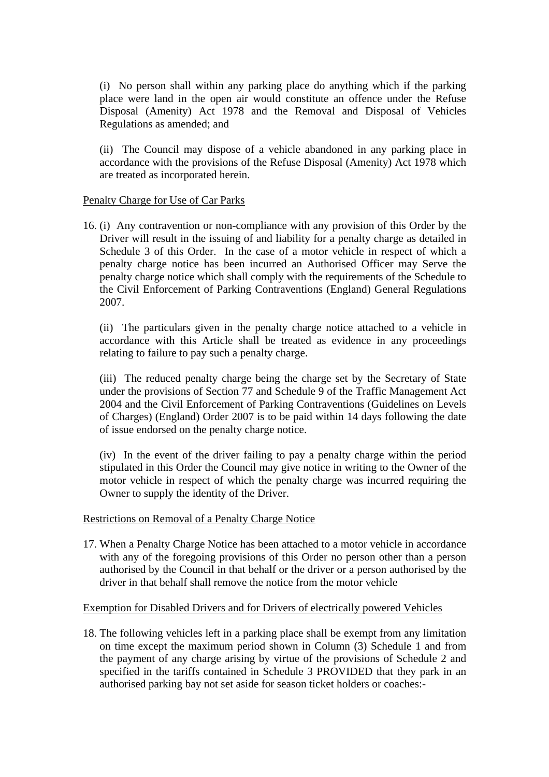(i) No person shall within any parking place do anything which if the parking place were land in the open air would constitute an offence under the Refuse Disposal (Amenity) Act 1978 and the Removal and Disposal of Vehicles Regulations as amended; and

 (ii) The Council may dispose of a vehicle abandoned in any parking place in accordance with the provisions of the Refuse Disposal (Amenity) Act 1978 which are treated as incorporated herein.

## Penalty Charge for Use of Car Parks

16. (i) Any contravention or non-compliance with any provision of this Order by the Driver will result in the issuing of and liability for a penalty charge as detailed in Schedule 3 of this Order. In the case of a motor vehicle in respect of which a penalty charge notice has been incurred an Authorised Officer may Serve the penalty charge notice which shall comply with the requirements of the Schedule to the Civil Enforcement of Parking Contraventions (England) General Regulations 2007.

 (ii) The particulars given in the penalty charge notice attached to a vehicle in accordance with this Article shall be treated as evidence in any proceedings relating to failure to pay such a penalty charge.

 (iii) The reduced penalty charge being the charge set by the Secretary of State under the provisions of Section 77 and Schedule 9 of the Traffic Management Act 2004 and the Civil Enforcement of Parking Contraventions (Guidelines on Levels of Charges) (England) Order 2007 is to be paid within 14 days following the date of issue endorsed on the penalty charge notice.

 (iv) In the event of the driver failing to pay a penalty charge within the period stipulated in this Order the Council may give notice in writing to the Owner of the motor vehicle in respect of which the penalty charge was incurred requiring the Owner to supply the identity of the Driver.

## Restrictions on Removal of a Penalty Charge Notice

17. When a Penalty Charge Notice has been attached to a motor vehicle in accordance with any of the foregoing provisions of this Order no person other than a person authorised by the Council in that behalf or the driver or a person authorised by the driver in that behalf shall remove the notice from the motor vehicle

## Exemption for Disabled Drivers and for Drivers of electrically powered Vehicles

18. The following vehicles left in a parking place shall be exempt from any limitation on time except the maximum period shown in Column (3) Schedule 1 and from the payment of any charge arising by virtue of the provisions of Schedule 2 and specified in the tariffs contained in Schedule 3 PROVIDED that they park in an authorised parking bay not set aside for season ticket holders or coaches:-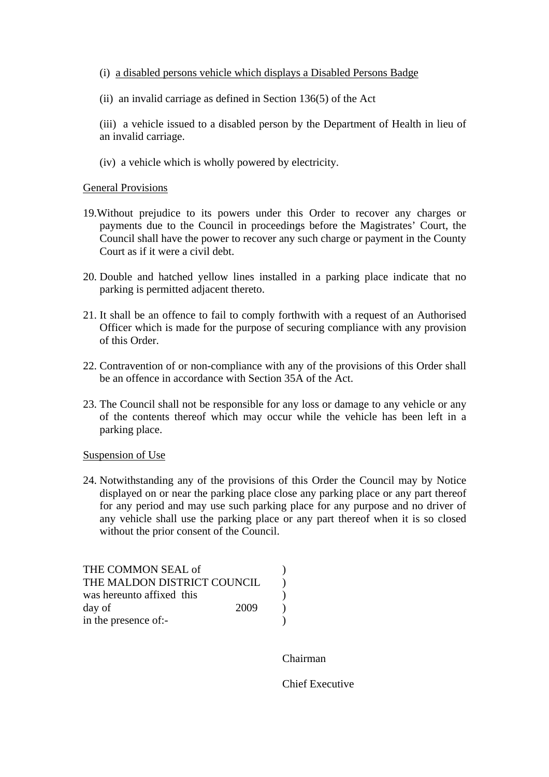- (i) a disabled persons vehicle which displays a Disabled Persons Badge
- (ii) an invalid carriage as defined in Section 136(5) of the Act
- (iii) a vehicle issued to a disabled person by the Department of Health in lieu of an invalid carriage.
- (iv) a vehicle which is wholly powered by electricity.

#### General Provisions

- 19.Without prejudice to its powers under this Order to recover any charges or payments due to the Council in proceedings before the Magistrates' Court, the Council shall have the power to recover any such charge or payment in the County Court as if it were a civil debt.
- 20. Double and hatched yellow lines installed in a parking place indicate that no parking is permitted adjacent thereto.
- 21. It shall be an offence to fail to comply forthwith with a request of an Authorised Officer which is made for the purpose of securing compliance with any provision of this Order.
- 22. Contravention of or non-compliance with any of the provisions of this Order shall be an offence in accordance with Section 35A of the Act.
- 23. The Council shall not be responsible for any loss or damage to any vehicle or any of the contents thereof which may occur while the vehicle has been left in a parking place.

#### Suspension of Use

24. Notwithstanding any of the provisions of this Order the Council may by Notice displayed on or near the parking place close any parking place or any part thereof for any period and may use such parking place for any purpose and no driver of any vehicle shall use the parking place or any part thereof when it is so closed without the prior consent of the Council.

| THE COMMON SEAL of          |  |
|-----------------------------|--|
| THE MALDON DISTRICT COUNCIL |  |
| was hereunto affixed this   |  |
| day of<br>2009              |  |
| in the presence of:-        |  |

Chairman

Chief Executive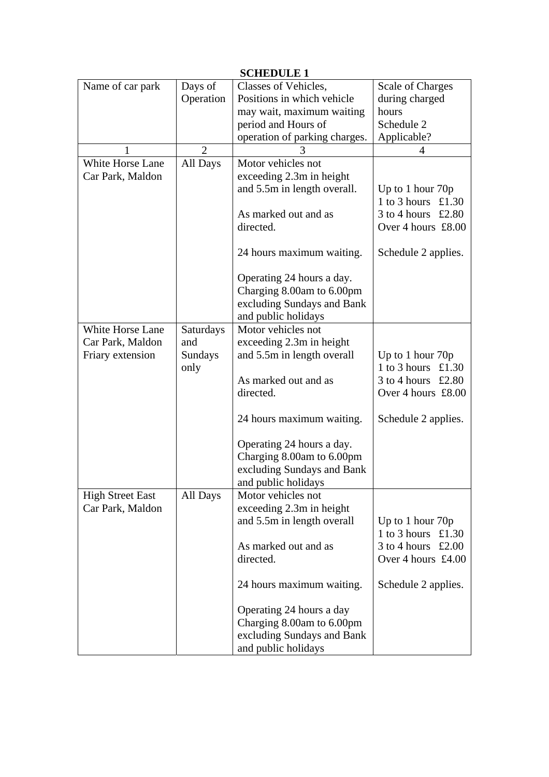| <b>SCHEDULE 1</b>       |                |                               |                         |
|-------------------------|----------------|-------------------------------|-------------------------|
| Name of car park        | Days of        | Classes of Vehicles,          | <b>Scale of Charges</b> |
|                         | Operation      | Positions in which vehicle    | during charged          |
|                         |                | may wait, maximum waiting     | hours                   |
|                         |                | period and Hours of           | Schedule 2              |
|                         |                | operation of parking charges. | Applicable?             |
|                         | $\overline{2}$ |                               | 4                       |
| White Horse Lane        | All Days       | Motor vehicles not            |                         |
| Car Park, Maldon        |                | exceeding 2.3m in height      |                         |
|                         |                | and 5.5m in length overall.   | Up to 1 hour 70p        |
|                         |                |                               | 1 to 3 hours £1.30      |
|                         |                | As marked out and as          | $3$ to 4 hours £2.80    |
|                         |                | directed.                     | Over 4 hours £8.00      |
|                         |                | 24 hours maximum waiting.     | Schedule 2 applies.     |
|                         |                | Operating 24 hours a day.     |                         |
|                         |                | Charging 8.00am to 6.00pm     |                         |
|                         |                | excluding Sundays and Bank    |                         |
|                         |                | and public holidays           |                         |
| White Horse Lane        | Saturdays      | Motor vehicles not            |                         |
| Car Park, Maldon        | and            | exceeding 2.3m in height      |                         |
| Friary extension        | Sundays        | and 5.5m in length overall    | Up to 1 hour 70p        |
|                         | only           |                               | 1 to 3 hours £1.30      |
|                         |                | As marked out and as          | $3$ to 4 hours £2.80    |
|                         |                | directed.                     | Over 4 hours £8.00      |
|                         |                |                               |                         |
|                         |                | 24 hours maximum waiting.     | Schedule 2 applies.     |
|                         |                | Operating 24 hours a day.     |                         |
|                         |                | Charging 8.00am to 6.00pm     |                         |
|                         |                | excluding Sundays and Bank    |                         |
|                         |                | and public holidays           |                         |
| <b>High Street East</b> | All Days       | Motor vehicles not            |                         |
| Car Park, Maldon        |                | exceeding 2.3m in height      |                         |
|                         |                | and 5.5m in length overall    | Up to 1 hour 70p        |
|                         |                |                               | 1 to 3 hours<br>£1.30   |
|                         |                | As marked out and as          | 3 to 4 hours<br>£2.00   |
|                         |                | directed.                     | Over 4 hours $£4.00$    |
|                         |                | 24 hours maximum waiting.     | Schedule 2 applies.     |
|                         |                | Operating 24 hours a day      |                         |
|                         |                | Charging 8.00am to 6.00pm     |                         |
|                         |                | excluding Sundays and Bank    |                         |
|                         |                | and public holidays           |                         |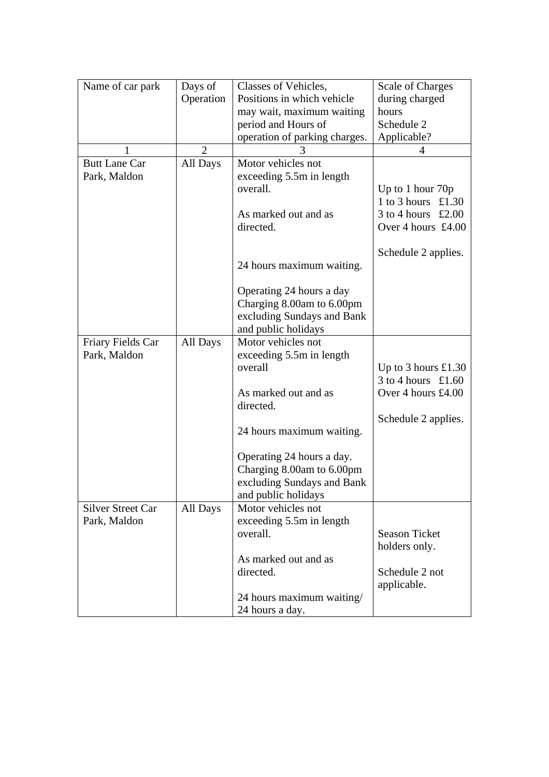| Name of car park         | Days of        | Classes of Vehicles,          | <b>Scale of Charges</b>           |
|--------------------------|----------------|-------------------------------|-----------------------------------|
|                          | Operation      | Positions in which vehicle    | during charged                    |
|                          |                | may wait, maximum waiting     | hours                             |
|                          |                | period and Hours of           | Schedule 2                        |
|                          |                | operation of parking charges. | Applicable?                       |
|                          | $\overline{2}$ |                               | 4                                 |
| <b>Butt Lane Car</b>     | All Days       | Motor vehicles not            |                                   |
| Park, Maldon             |                | exceeding 5.5m in length      |                                   |
|                          |                | overall.                      | Up to 1 hour 70p                  |
|                          |                |                               | 1 to 3 hours £1.30                |
|                          |                | As marked out and as          | 3 to 4 hours $\text{\pounds}2.00$ |
|                          |                | directed.                     | Over 4 hours £4.00                |
|                          |                |                               |                                   |
|                          |                |                               | Schedule 2 applies.               |
|                          |                | 24 hours maximum waiting.     |                                   |
|                          |                |                               |                                   |
|                          |                | Operating 24 hours a day      |                                   |
|                          |                | Charging 8.00am to 6.00pm     |                                   |
|                          |                | excluding Sundays and Bank    |                                   |
|                          |                | and public holidays           |                                   |
| Friary Fields Car        | All Days       | Motor vehicles not            |                                   |
| Park, Maldon             |                | exceeding 5.5m in length      |                                   |
|                          |                | overall                       | Up to 3 hours $£1.30$             |
|                          |                |                               | $3$ to 4 hours £1.60              |
|                          |                |                               |                                   |
|                          |                | As marked out and as          | Over 4 hours £4.00                |
|                          |                | directed.                     |                                   |
|                          |                |                               | Schedule 2 applies.               |
|                          |                | 24 hours maximum waiting.     |                                   |
|                          |                |                               |                                   |
|                          |                | Operating 24 hours a day.     |                                   |
|                          |                | Charging 8.00am to 6.00pm     |                                   |
|                          |                | excluding Sundays and Bank    |                                   |
|                          |                | and public holidays           |                                   |
| <b>Silver Street Car</b> | All Days       | Motor vehicles not            |                                   |
| Park, Maldon             |                | exceeding 5.5m in length      |                                   |
|                          |                | overall.                      | <b>Season Ticket</b>              |
|                          |                |                               | holders only.                     |
|                          |                | As marked out and as          |                                   |
|                          |                | directed.                     | Schedule 2 not                    |
|                          |                |                               | applicable.                       |
|                          |                | 24 hours maximum waiting/     |                                   |
|                          |                | 24 hours a day.               |                                   |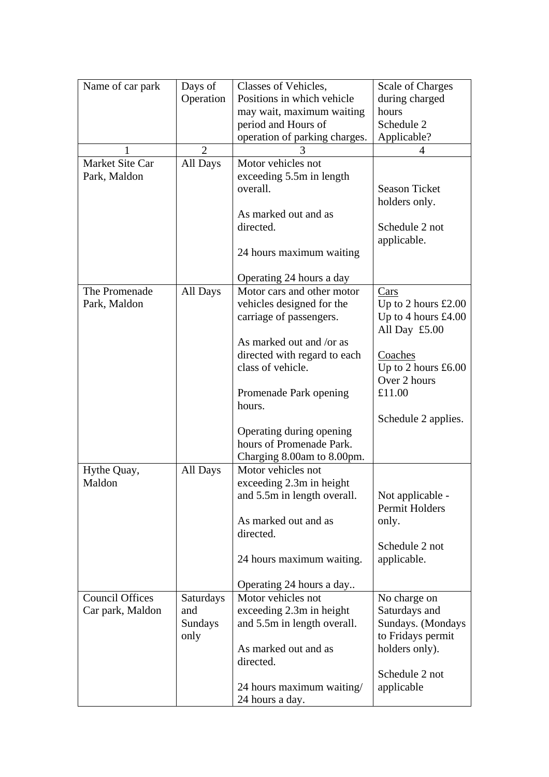| Name of car park       | Days of        | Classes of Vehicles,          | <b>Scale of Charges</b> |
|------------------------|----------------|-------------------------------|-------------------------|
|                        | Operation      | Positions in which vehicle    | during charged          |
|                        |                | may wait, maximum waiting     | hours                   |
|                        |                | period and Hours of           | Schedule 2              |
|                        |                | operation of parking charges. | Applicable?             |
| 1                      | $\overline{2}$ |                               | 4                       |
| Market Site Car        | All Days       | Motor vehicles not            |                         |
| Park, Maldon           |                | exceeding 5.5m in length      |                         |
|                        |                | overall.                      | <b>Season Ticket</b>    |
|                        |                |                               | holders only.           |
|                        |                | As marked out and as          |                         |
|                        |                | directed.                     | Schedule 2 not          |
|                        |                |                               | applicable.             |
|                        |                | 24 hours maximum waiting      |                         |
|                        |                |                               |                         |
|                        |                | Operating 24 hours a day      |                         |
| The Promenade          | All Days       | Motor cars and other motor    | Cars                    |
| Park, Maldon           |                | vehicles designed for the     | Up to 2 hours $£2.00$   |
|                        |                | carriage of passengers.       | Up to 4 hours $£4.00$   |
|                        |                |                               | All Day £5.00           |
|                        |                | As marked out and /or as      |                         |
|                        |                | directed with regard to each  | Coaches                 |
|                        |                | class of vehicle.             | Up to 2 hours $£6.00$   |
|                        |                |                               | Over 2 hours            |
|                        |                | Promenade Park opening        | £11.00                  |
|                        |                | hours.                        |                         |
|                        |                |                               | Schedule 2 applies.     |
|                        |                | Operating during opening      |                         |
|                        |                | hours of Promenade Park.      |                         |
|                        |                | Charging 8.00am to 8.00pm.    |                         |
| Hythe Quay,            | All Days       | Motor vehicles not            |                         |
| Maldon                 |                | exceeding 2.3m in height      |                         |
|                        |                | and 5.5m in length overall.   | Not applicable -        |
|                        |                |                               | Permit Holders          |
|                        |                | As marked out and as          | only.                   |
|                        |                | directed.                     |                         |
|                        |                |                               | Schedule 2 not          |
|                        |                | 24 hours maximum waiting.     | applicable.             |
|                        |                |                               |                         |
|                        |                | Operating 24 hours a day      |                         |
| <b>Council Offices</b> | Saturdays      | Motor vehicles not            | No charge on            |
| Car park, Maldon       | and            | exceeding 2.3m in height      | Saturdays and           |
|                        | Sundays        | and 5.5m in length overall.   | Sundays. (Mondays       |
|                        | only           |                               | to Fridays permit       |
|                        |                | As marked out and as          | holders only).          |
|                        |                | directed.                     |                         |
|                        |                |                               | Schedule 2 not          |
|                        |                | 24 hours maximum waiting/     | applicable              |
|                        |                | 24 hours a day.               |                         |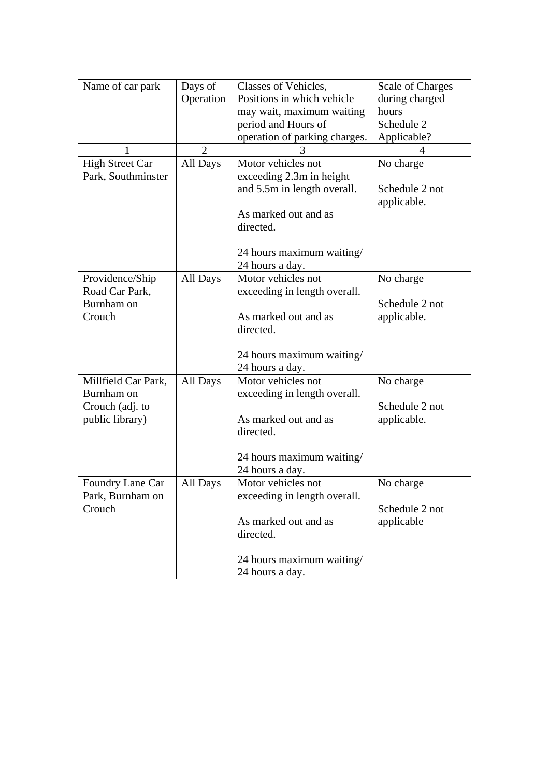| Name of car park                  | Days of        | Classes of Vehicles,          | <b>Scale of Charges</b> |
|-----------------------------------|----------------|-------------------------------|-------------------------|
|                                   | Operation      | Positions in which vehicle    | during charged          |
|                                   |                | may wait, maximum waiting     | hours                   |
|                                   |                | period and Hours of           | Schedule 2              |
|                                   |                | operation of parking charges. | Applicable?             |
|                                   | $\overline{2}$ | 3                             |                         |
| <b>High Street Car</b>            | All Days       | Motor vehicles not            | No charge               |
| Park, Southminster                |                | exceeding 2.3m in height      |                         |
|                                   |                | and 5.5m in length overall.   | Schedule 2 not          |
|                                   |                |                               | applicable.             |
|                                   |                | As marked out and as          |                         |
|                                   |                | directed.                     |                         |
|                                   |                |                               |                         |
|                                   |                | 24 hours maximum waiting/     |                         |
|                                   |                | 24 hours a day.               |                         |
| Providence/Ship                   | All Days       | Motor vehicles not            | No charge               |
| Road Car Park,                    |                | exceeding in length overall.  |                         |
| Burnham on                        |                |                               | Schedule 2 not          |
| Crouch                            |                | As marked out and as          | applicable.             |
|                                   |                | directed.                     |                         |
|                                   |                |                               |                         |
|                                   |                | 24 hours maximum waiting/     |                         |
|                                   |                | 24 hours a day.               |                         |
| Millfield Car Park,<br>Burnham on | All Days       | Motor vehicles not            | No charge               |
|                                   |                | exceeding in length overall.  | Schedule 2 not          |
| Crouch (adj. to                   |                | As marked out and as          |                         |
| public library)                   |                | directed.                     | applicable.             |
|                                   |                |                               |                         |
|                                   |                | 24 hours maximum waiting/     |                         |
|                                   |                | 24 hours a day.               |                         |
| Foundry Lane Car                  | All Days       | Motor vehicles not            | No charge               |
| Park, Burnham on                  |                | exceeding in length overall.  |                         |
| Crouch                            |                |                               | Schedule 2 not          |
|                                   |                | As marked out and as          | applicable              |
|                                   |                | directed.                     |                         |
|                                   |                |                               |                         |
|                                   |                | 24 hours maximum waiting/     |                         |
|                                   |                | 24 hours a day.               |                         |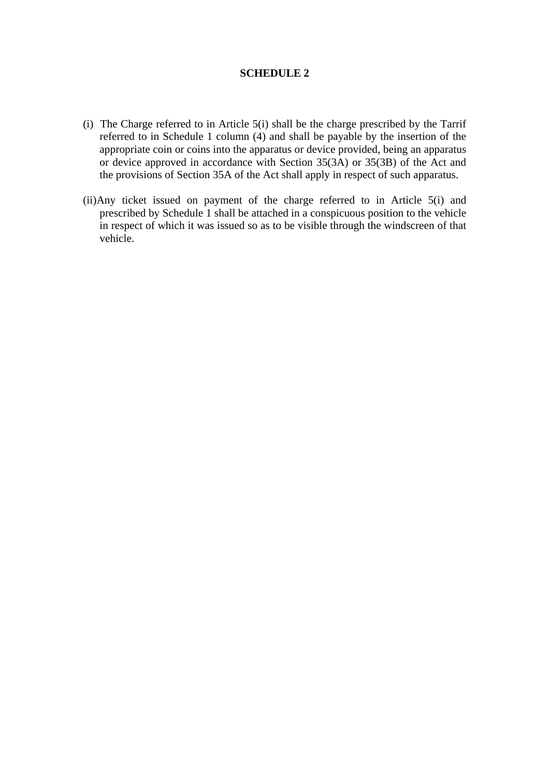## **SCHEDULE 2**

- (i) The Charge referred to in Article 5(i) shall be the charge prescribed by the Tarrif referred to in Schedule 1 column (4) and shall be payable by the insertion of the appropriate coin or coins into the apparatus or device provided, being an apparatus or device approved in accordance with Section 35(3A) or 35(3B) of the Act and the provisions of Section 35A of the Act shall apply in respect of such apparatus.
- (ii)Any ticket issued on payment of the charge referred to in Article 5(i) and prescribed by Schedule 1 shall be attached in a conspicuous position to the vehicle in respect of which it was issued so as to be visible through the windscreen of that vehicle.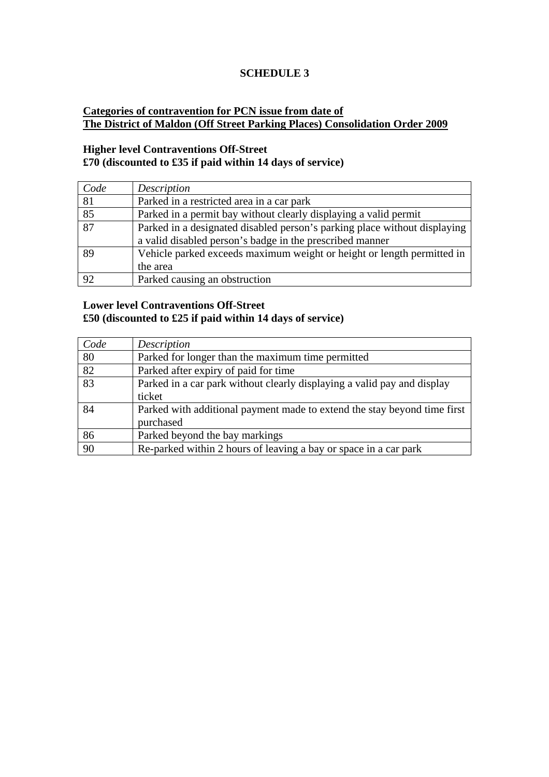# **SCHEDULE 3**

# **Categories of contravention for PCN issue from date of The District of Maldon (Off Street Parking Places) Consolidation Order 2009**

# **Higher level Contraventions Off-Street £70 (discounted to £35 if paid within 14 days of service)**

| Code | Description                                                               |
|------|---------------------------------------------------------------------------|
| 81   | Parked in a restricted area in a car park                                 |
| 85   | Parked in a permit bay without clearly displaying a valid permit          |
| 87   | Parked in a designated disabled person's parking place without displaying |
|      | a valid disabled person's badge in the prescribed manner                  |
| 89   | Vehicle parked exceeds maximum weight or height or length permitted in    |
|      | the area                                                                  |
| 92   | Parked causing an obstruction                                             |

## **Lower level Contraventions Off-Street £50 (discounted to £25 if paid within 14 days of service)**

| Code | Description                                                              |
|------|--------------------------------------------------------------------------|
| 80   | Parked for longer than the maximum time permitted                        |
| 82   | Parked after expiry of paid for time                                     |
| 83   | Parked in a car park without clearly displaying a valid pay and display  |
|      | ticket                                                                   |
| 84   | Parked with additional payment made to extend the stay beyond time first |
|      | purchased                                                                |
| 86   | Parked beyond the bay markings                                           |
| 90   | Re-parked within 2 hours of leaving a bay or space in a car park         |